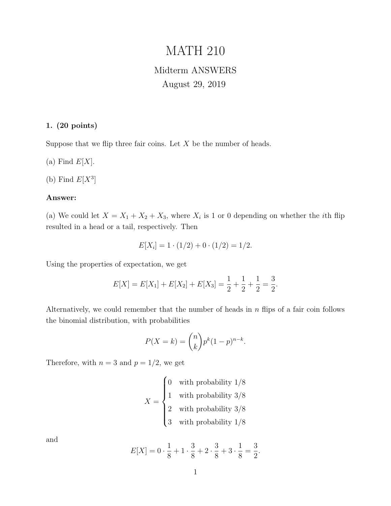# MATH 210

## Midterm ANSWERS August 29, 2019

## 1. (20 points)

Suppose that we flip three fair coins. Let  $X$  be the number of heads.

(a) Find  $E[X]$ .

(b) Find  $E[X^3]$ 

## Answer:

(a) We could let  $X = X_1 + X_2 + X_3$ , where  $X_i$  is 1 or 0 depending on whether the *i*th flip resulted in a head or a tail, respectively. Then

$$
E[X_i] = 1 \cdot (1/2) + 0 \cdot (1/2) = 1/2.
$$

Using the properties of expectation, we get

$$
E[X] = E[X_1] + E[X_2] + E[X_3] = \frac{1}{2} + \frac{1}{2} + \frac{1}{2} = \frac{3}{2}.
$$

Alternatively, we could remember that the number of heads in  $n$  flips of a fair coin follows the binomial distribution, with probabilities

$$
P(X = k) = \binom{n}{k} p^k (1 - p)^{n - k}.
$$

Therefore, with  $n = 3$  and  $p = 1/2$ , we get

$$
X = \begin{cases} 0 & \text{with probability } 1/8 \\ 1 & \text{with probability } 3/8 \\ 2 & \text{with probability } 3/8 \\ 3 & \text{with probability } 1/8 \end{cases}
$$

and

$$
E[X] = 0 \cdot \frac{1}{8} + 1 \cdot \frac{3}{8} + 2 \cdot \frac{3}{8} + 3 \cdot \frac{1}{8} = \frac{3}{2}.
$$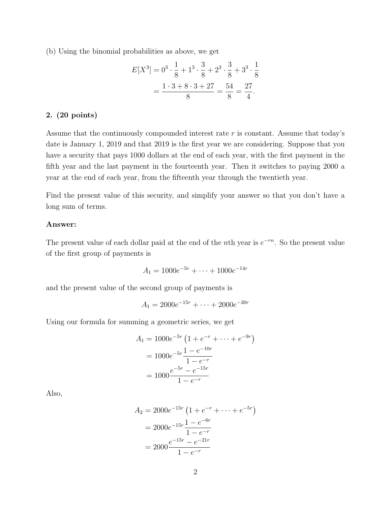(b) Using the binomial probabilities as above, we get

$$
E[X^3] = 0^3 \cdot \frac{1}{8} + 1^3 \cdot \frac{3}{8} + 2^3 \cdot \frac{3}{8} + 3^3 \cdot \frac{1}{8}
$$

$$
= \frac{1 \cdot 3 + 8 \cdot 3 + 27}{8} = \frac{54}{8} = \frac{27}{4}.
$$

## 2. (20 points)

Assume that the continuously compounded interest rate  $r$  is constant. Assume that today's date is January 1, 2019 and that 2019 is the first year we are considering. Suppose that you have a security that pays 1000 dollars at the end of each year, with the first payment in the fifth year and the last payment in the fourteenth year. Then it switches to paying 2000 a year at the end of each year, from the fifteenth year through the twentieth year.

Find the present value of this security, and simplify your answer so that you don't have a long sum of terms.

## Answer:

The present value of each dollar paid at the end of the *n*th year is  $e^{-rn}$ . So the present value of the first group of payments is

$$
A_1 = 1000e^{-5r} + \dots + 1000e^{-14r}
$$

and the present value of the second group of payments is

$$
A_1 = 2000e^{-15r} + \dots + 2000e^{-20r}
$$

Using our formula for summing a geometric series, we get

$$
A_1 = 1000e^{-5r} \left(1 + e^{-r} + \dots + e^{-9r}\right)
$$
  
=  $1000e^{-5r} \frac{1 - e^{-10r}}{1 - e^{-r}}$   
=  $1000 \frac{e^{-5r} - e^{-15r}}{1 - e^{-r}}$ 

Also,

$$
A_2 = 2000e^{-15r} \left( 1 + e^{-r} + \dots + e^{-5r} \right)
$$
  
= 2000e^{-15r} \frac{1 - e^{-6r}}{1 - e^{-r}}  
= 2000 \frac{e^{-15r} - e^{-21r}}{1 - e^{-r}}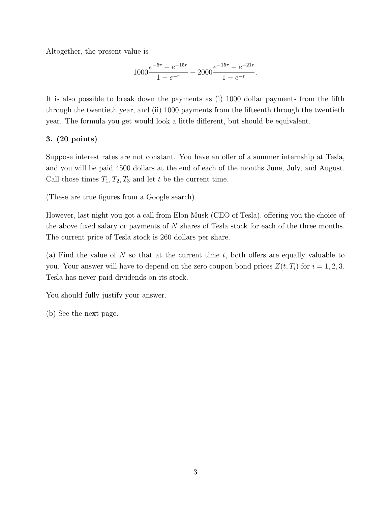Altogether, the present value is

$$
1000 \frac{e^{-5r} - e^{-15r}}{1 - e^{-r}} + 2000 \frac{e^{-15r} - e^{-21r}}{1 - e^{-r}}.
$$

It is also possible to break down the payments as (i) 1000 dollar payments from the fifth through the twentieth year, and (ii) 1000 payments from the fifteenth through the twentieth year. The formula you get would look a little different, but should be equivalent.

## 3. (20 points)

Suppose interest rates are not constant. You have an offer of a summer internship at Tesla, and you will be paid 4500 dollars at the end of each of the months June, July, and August. Call those times  $T_1, T_2, T_3$  and let t be the current time.

(These are true figures from a Google search).

However, last night you got a call from Elon Musk (CEO of Tesla), offering you the choice of the above fixed salary or payments of N shares of Tesla stock for each of the three months. The current price of Tesla stock is 260 dollars per share.

(a) Find the value of N so that at the current time t, both offers are equally valuable to you. Your answer will have to depend on the zero coupon bond prices  $Z(t, T_i)$  for  $i = 1, 2, 3$ . Tesla has never paid dividends on its stock.

You should fully justify your answer.

(b) See the next page.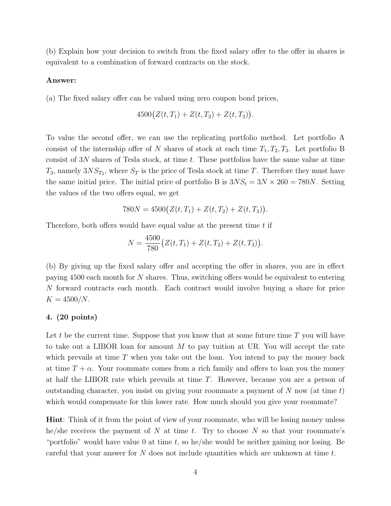(b) Explain how your decision to switch from the fixed salary offer to the offer in shares is equivalent to a combination of forward contracts on the stock.

#### Answer:

(a) The fixed salary offer can be valued using zero coupon bond prices,

$$
4500(Z(t, T_1) + Z(t, T_2) + Z(t, T_3)).
$$

To value the second offer, we can use the replicating portfolio method. Let portfolio A consist of the internship offer of N shares of stock at each time  $T_1, T_2, T_3$ . Let portfolio B consist of 3N shares of Tesla stock, at time t. These portfolios have the same value at time  $T_3$ , namely  $3NS_{T_3}$ , where  $S_T$  is the price of Tesla stock at time T. Therefore they must have the same initial price. The initial price of portfolio B is  $3NS_t = 3N \times 260 = 780N$ . Setting the values of the two offers equal, we get

$$
780N = 4500(Z(t, T_1) + Z(t, T_2) + Z(t, T_3)).
$$

Therefore, both offers would have equal value at the present time  $t$  if

$$
N = \frac{4500}{780} (Z(t, T_1) + Z(t, T_2) + Z(t, T_3)).
$$

(b) By giving up the fixed salary offer and accepting the offer in shares, you are in effect paying 4500 each month for N shares. Thus, switching offers would be equivalent to entering N forward contracts each month. Each contract would involve buying a share for price  $K = 4500/N$ .

## 4. (20 points)

Let t be the current time. Suppose that you know that at some future time  $T$  you will have to take out a LIBOR loan for amount  $M$  to pay tuition at UR. You will accept the rate which prevails at time  $T$  when you take out the loan. You intend to pay the money back at time  $T + \alpha$ . Your roommate comes from a rich family and offers to loan you the money at half the LIBOR rate which prevails at time T. However, because you are a person of outstanding character, you insist on giving your roommate a payment of N now (at time  $t$ ) which would compensate for this lower rate. How much should you give your roommate?

Hint: Think of it from the point of view of your roommate, who will be losing money unless he/she receives the payment of N at time t. Try to choose N so that your roommate's "portfolio" would have value 0 at time  $t$ , so he/she would be neither gaining nor losing. Be careful that your answer for  $N$  does not include quantities which are unknown at time  $t$ .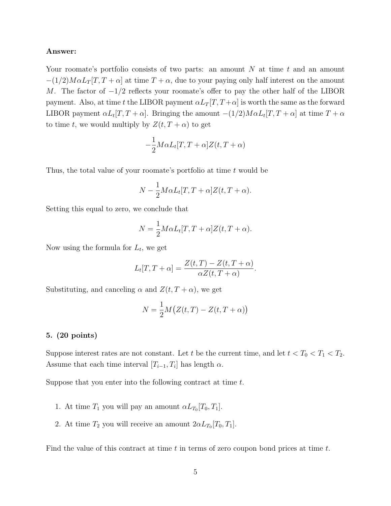## Answer:

Your roomate's portfolio consists of two parts: an amount  $N$  at time  $t$  and an amount  $-(1/2)M\alpha L_T[T, T + \alpha]$  at time  $T + \alpha$ , due to your paying only half interest on the amount M. The factor of  $-1/2$  reflects your roomate's offer to pay the other half of the LIBOR payment. Also, at time t the LIBOR payment  $\alpha L_T[T, T+\alpha]$  is worth the same as the forward LIBOR payment  $\alpha L_t[T, T + \alpha]$ . Bringing the amount  $-(1/2)M \alpha L_t[T, T + \alpha]$  at time  $T + \alpha$ to time t, we would multiply by  $Z(t, T + \alpha)$  to get

$$
-\frac{1}{2}M\alpha L_t[T,T+\alpha]Z(t,T+\alpha)
$$

Thus, the total value of your roomate's portfolio at time  $t$  would be

$$
N - \frac{1}{2} M \alpha L_t[T, T + \alpha] Z(t, T + \alpha).
$$

Setting this equal to zero, we conclude that

$$
N = \frac{1}{2} M \alpha L_t[T, T + \alpha] Z(t, T + \alpha).
$$

Now using the formula for  $L_t$ , we get

$$
L_t[T, T + \alpha] = \frac{Z(t, T) - Z(t, T + \alpha)}{\alpha Z(t, T + \alpha)}.
$$

Substituting, and canceling  $\alpha$  and  $Z(t, T + \alpha)$ , we get

$$
N = \frac{1}{2}M(Z(t,T) - Z(t,T+\alpha))
$$

#### 5. (20 points)

Suppose interest rates are not constant. Let t be the current time, and let  $t < T_0 < T_1 < T_2$ . Assume that each time interval  $[T_{i-1}, T_i]$  has length  $\alpha$ .

Suppose that you enter into the following contract at time t.

- 1. At time  $T_1$  you will pay an amount  $\alpha L_{T_0}[T_0, T_1]$ .
- 2. At time  $T_2$  you will receive an amount  $2\alpha L_{T_0}[T_0, T_1]$ .

Find the value of this contract at time  $t$  in terms of zero coupon bond prices at time  $t$ .